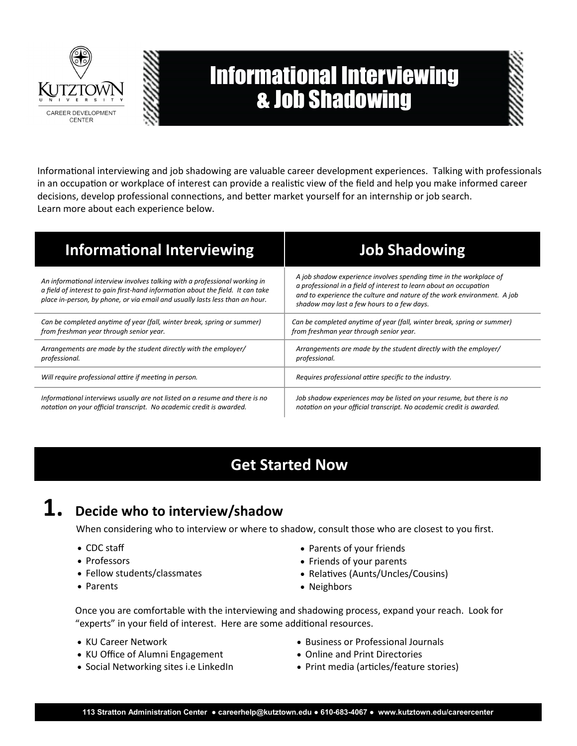

# Informational Interviewing & Job Shadowing

Informational interviewing and job shadowing are valuable career development experiences. Talking with professionals in an occupation or workplace of interest can provide a realistic view of the field and help you make informed career decisions, develop professional connections, and better market yourself for an internship or job search. Learn more about each experience below.

| <b>Informational Interviewing</b>                                                                                                                                                                                                             | <b>Job Shadowing</b>                                                                                                                                                                                                                                              |
|-----------------------------------------------------------------------------------------------------------------------------------------------------------------------------------------------------------------------------------------------|-------------------------------------------------------------------------------------------------------------------------------------------------------------------------------------------------------------------------------------------------------------------|
| An informational interview involves talking with a professional working in<br>a field of interest to gain first-hand information about the field. It can take<br>place in-person, by phone, or via email and usually lasts less than an hour. | A job shadow experience involves spending time in the workplace of<br>a professional in a field of interest to learn about an occupation<br>and to experience the culture and nature of the work environment. A job<br>shadow may last a few hours to a few days. |
| Can be completed anytime of year (fall, winter break, spring or summer)                                                                                                                                                                       | Can be completed anytime of year (fall, winter break, spring or summer)                                                                                                                                                                                           |
| from freshman year through senior year.                                                                                                                                                                                                       | from freshman year through senior year.                                                                                                                                                                                                                           |
| Arrangements are made by the student directly with the employer/                                                                                                                                                                              | Arrangements are made by the student directly with the employer/                                                                                                                                                                                                  |
| professional.                                                                                                                                                                                                                                 | professional.                                                                                                                                                                                                                                                     |
| Will require professional attire if meeting in person.                                                                                                                                                                                        | Requires professional attire specific to the industry.                                                                                                                                                                                                            |
| Informational interviews usually are not listed on a resume and there is no                                                                                                                                                                   | Job shadow experiences may be listed on your resume, but there is no                                                                                                                                                                                              |
| notation on your official transcript. No academic credit is awarded.                                                                                                                                                                          | notation on your official transcript. No academic credit is awarded.                                                                                                                                                                                              |

## **Get Started Now**

## **1. Decide who to interview/shadow**

When considering who to interview or where to shadow, consult those who are closest to you first.

- CDC staff
- Professors
- Fellow students/classmates
- Parents
- Parents of your friends
- Friends of your parents
- Relatives (Aunts/Uncles/Cousins)
- Neighbors

Once you are comfortable with the interviewing and shadowing process, expand your reach. Look for "experts" in your field of interest. Here are some additional resources.

- KU Career Network
- KU Office of Alumni Engagement
- Social Networking sites i.e LinkedIn
- Business or Professional Journals
- Online and Print Directories
- Print media (articles/feature stories)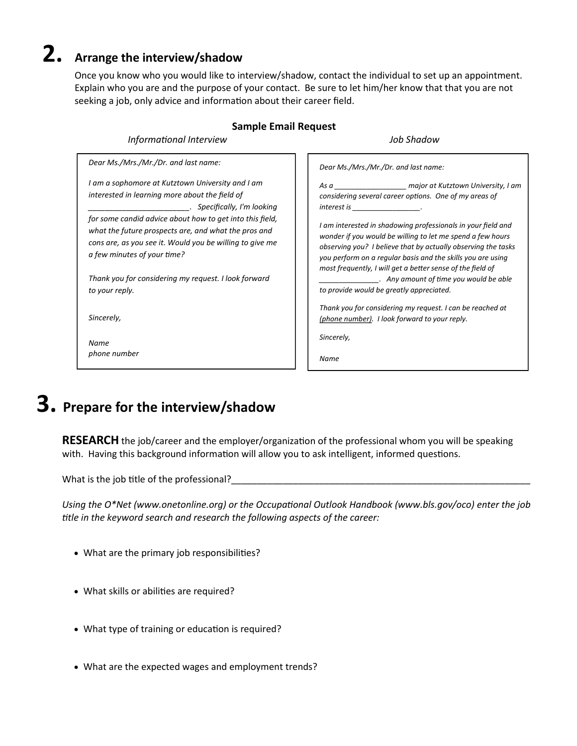## **2. Arrange the interview/shadow**

Once you know who you would like to interview/shadow, contact the individual to set up an appointment. Explain who you are and the purpose of your contact. Be sure to let him/her know that that you are not seeking a job, only advice and information about their career field.

#### **Sample Email Request**

*Informational Interview Job Shadow*

*Dear Ms./Mrs./Mr./Dr. and last name: I am a sophomore at Kutztown University and I am interested in learning more about the field of \_\_\_\_\_\_\_\_\_\_\_\_\_\_\_\_\_\_\_\_\_\_\_\_. Specifically, I'm looking for some candid advice about how to get into this field, what the future prospects are, and what the pros and cons are, as you see it. Would you be willing to give me a few minutes of your time? Thank you for considering my request. I look forward to your reply. Sincerely,*

*Name phone number* *Dear Ms./Mrs./Mr./Dr. and last name:*

*As a \_\_\_\_\_\_\_\_\_\_\_\_\_\_\_\_\_\_ major at Kutztown University, I am considering several career options. One of my areas of interest is \_\_\_\_\_\_\_\_\_\_\_\_\_\_\_\_\_.* 

*I am interested in shadowing professionals in your field and wonder if you would be willing to let me spend a few hours observing you? I believe that by actually observing the tasks you perform on a regular basis and the skills you are using most frequently, I will get a better sense of the field of \_\_\_\_\_\_\_\_\_\_\_\_\_\_\_. Any amount of time you would be able* 

*to provide would be greatly appreciated.* 

*Thank you for considering my request. I can be reached at (phone number). I look forward to your reply.*

*Sincerely,*

*Name*

## **3. Prepare for the interview/shadow**

**RESEARCH** the job/career and the employer/organization of the professional whom you will be speaking with. Having this background information will allow you to ask intelligent, informed questions.

What is the job title of the professional?

*Using the O\*Net (www.onetonline.org) or the Occupational Outlook Handbook (www.bls.gov/oco) enter the job title in the keyword search and research the following aspects of the career:*

- What are the primary job responsibilities?
- What skills or abilities are required?
- What type of training or education is required?
- What are the expected wages and employment trends?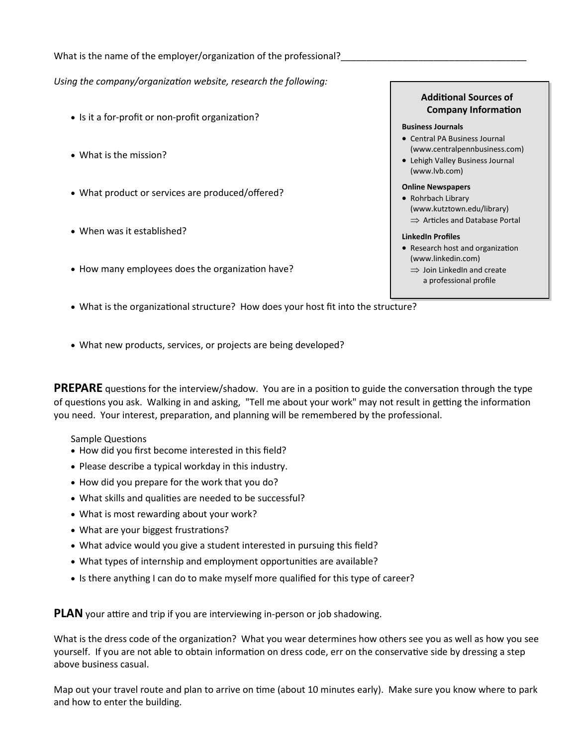What is the name of the employer/organization of the professional?

*Using the company/organization website, research the following:*

- Is it a for-profit or non-profit organization?
- What is the mission?
- What product or services are produced/offered?
- When was it established?
- How many employees does the organization have?

#### **Additional Sources of Company Information**

#### **Business Journals**

- Central PA Business Journal (www.centralpennbusiness.com)
- Lehigh Valley Business Journal (www.lvb.com)

#### **Online Newspapers**

• Rohrbach Library (www.kutztown.edu/library)  $\Rightarrow$  Articles and Database Portal

#### **LinkedIn Profiles**

- Research host and organization (www.linkedin.com)
	- $\Rightarrow$  Join LinkedIn and create a professional profile
- What is the organizational structure? How does your host fit into the structure?
- What new products, services, or projects are being developed?

**PREPARE** questions for the interview/shadow. You are in a position to guide the conversation through the type of questions you ask. Walking in and asking, "Tell me about your work" may not result in getting the information you need. Your interest, preparation, and planning will be remembered by the professional.

Sample Questions

- How did you first become interested in this field?
- Please describe a typical workday in this industry.
- How did you prepare for the work that you do?
- What skills and qualities are needed to be successful?
- What is most rewarding about your work?
- What are your biggest frustrations?
- What advice would you give a student interested in pursuing this field?
- What types of internship and employment opportunities are available?
- Is there anything I can do to make myself more qualified for this type of career?

**PLAN** your attire and trip if you are interviewing in-person or job shadowing.

What is the dress code of the organization? What you wear determines how others see you as well as how you see yourself. If you are not able to obtain information on dress code, err on the conservative side by dressing a step above business casual.

Map out your travel route and plan to arrive on time (about 10 minutes early). Make sure you know where to park and how to enter the building.